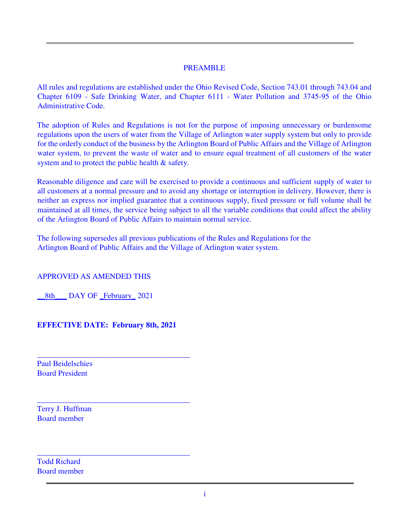#### PREAMBLE

All rules and regulations are established under the Ohio Revised Code, Section 743.01 through 743.04 and Chapter 6109 - Safe Drinking Water, and Chapter 6111 - Water Pollution and 3745-95 of the Ohio Administrative Code.

The adoption of Rules and Regulations is not for the purpose of imposing unnecessary or burdensome regulations upon the users of water from the Village of Arlington water supply system but only to provide for the orderly conduct of the business by the Arlington Board of Public Affairs and the Village of Arlington water system, to prevent the waste of water and to ensure equal treatment of all customers of the water system and to protect the public health  $\&$  safety.

Reasonable diligence and care will be exercised to provide a continuous and sufficient supply of water to all customers at a normal pressure and to avoid any shortage or interruption in delivery. However, there is neither an express nor implied guarantee that a continuous supply, fixed pressure or full volume shall be maintained at all times, the service being subject to all the variable conditions that could affect the ability of the Arlington Board of Public Affairs to maintain normal service.

The following supersedes all previous publications of the Rules and Regulations for the Arlington Board of Public Affairs and the Village of Arlington water system.

APPROVED AS AMENDED THIS

8th DAY OF February 2021

**EFFECTIVE DATE: February 8th, 2021**

\_\_\_\_\_\_\_\_\_\_\_\_\_\_\_\_\_\_\_\_\_\_\_\_\_\_\_\_\_\_\_\_\_\_\_\_\_\_\_

\_\_\_\_\_\_\_\_\_\_\_\_\_\_\_\_\_\_\_\_\_\_\_\_\_\_\_\_\_\_\_\_\_\_\_\_\_\_\_

\_\_\_\_\_\_\_\_\_\_\_\_\_\_\_\_\_\_\_\_\_\_\_\_\_\_\_\_\_\_\_\_\_\_\_\_\_\_\_

Paul Beidelschies Board President

Terry J. Huffman Board member

Todd Richard Board member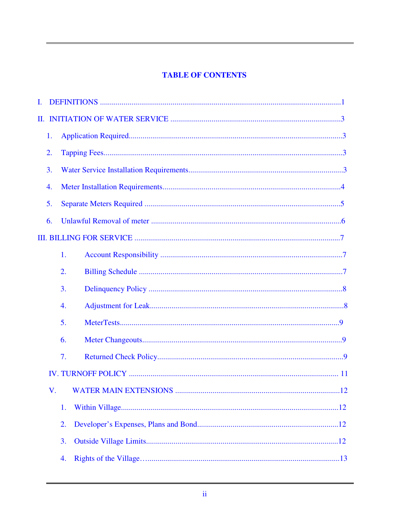## **TABLE OF CONTENTS**

| Ι. |    |    |
|----|----|----|
| П. |    |    |
|    | 1. |    |
|    | 2. |    |
|    | 3. |    |
|    | 4. |    |
|    | 5. |    |
|    | 6. |    |
|    |    |    |
|    |    | 1. |
|    |    | 2. |
|    |    | 3. |
|    |    | 4. |
|    |    | 5. |
|    |    | 6. |
|    |    | 7. |
|    |    |    |
|    | V. |    |
|    |    | 1. |
|    |    | 2. |
|    |    | 3. |
|    |    | 4. |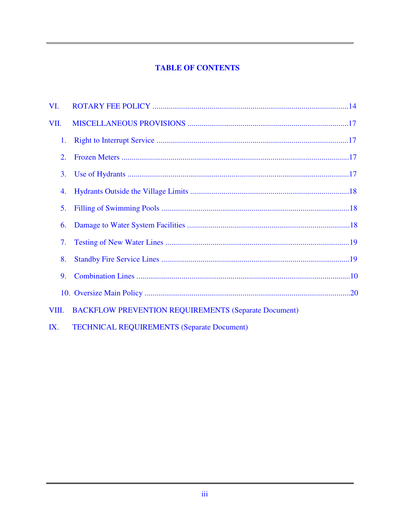## **TABLE OF CONTENTS**

| VI.   |                                                             |  |
|-------|-------------------------------------------------------------|--|
| VII.  |                                                             |  |
| 1.    |                                                             |  |
| 2.    |                                                             |  |
| 3.    |                                                             |  |
| 4.    |                                                             |  |
| 5.    |                                                             |  |
| 6.    |                                                             |  |
| 7.    |                                                             |  |
| 8.    |                                                             |  |
| 9.    |                                                             |  |
|       |                                                             |  |
| VIII. | <b>BACKFLOW PREVENTION REQUIREMENTS (Separate Document)</b> |  |
|       |                                                             |  |

**TECHNICAL REQUIREMENTS (Separate Document)**  $IX.$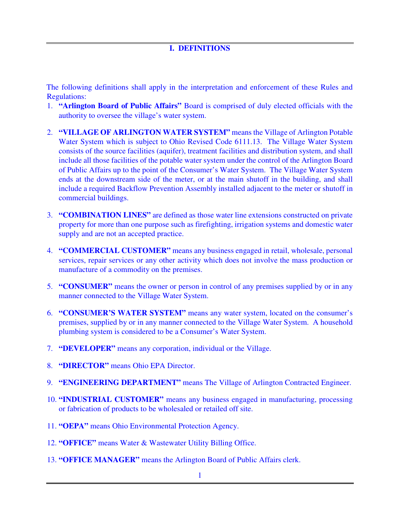### **I. DEFINITIONS**

The following definitions shall apply in the interpretation and enforcement of these Rules and Regulations:

- 1. **"Arlington Board of Public Affairs"** Board is comprised of duly elected officials with the authority to oversee the village's water system.
- 2. **"VILLAGE OF ARLINGTON WATER SYSTEM"** means the Village of Arlington Potable Water System which is subject to Ohio Revised Code 6111.13. The Village Water System consists of the source facilities (aquifer), treatment facilities and distribution system, and shall include all those facilities of the potable water system under the control of the Arlington Board of Public Affairs up to the point of the Consumer's Water System. The Village Water System ends at the downstream side of the meter, or at the main shutoff in the building, and shall include a required Backflow Prevention Assembly installed adjacent to the meter or shutoff in commercial buildings.
- 3. **"COMBINATION LINES"** are defined as those water line extensions constructed on private property for more than one purpose such as firefighting, irrigation systems and domestic water supply and are not an accepted practice.
- 4. **"COMMERCIAL CUSTOMER"** means any business engaged in retail, wholesale, personal services, repair services or any other activity which does not involve the mass production or manufacture of a commodity on the premises.
- 5. **"CONSUMER"** means the owner or person in control of any premises supplied by or in any manner connected to the Village Water System.
- 6. **"CONSUMER'S WATER SYSTEM"** means any water system, located on the consumer's premises, supplied by or in any manner connected to the Village Water System. A household plumbing system is considered to be a Consumer's Water System.
- 7. **"DEVELOPER"** means any corporation, individual or the Village.
- 8. **"DIRECTOR"** means Ohio EPA Director.
- 9. **"ENGINEERING DEPARTMENT"** means The Village of Arlington Contracted Engineer.
- 10. **"INDUSTRIAL CUSTOMER"** means any business engaged in manufacturing, processing or fabrication of products to be wholesaled or retailed off site.
- 11. **"OEPA"** means Ohio Environmental Protection Agency.
- 12. **"OFFICE"** means Water & Wastewater Utility Billing Office.
- 13. **"OFFICE MANAGER"** means the Arlington Board of Public Affairs clerk.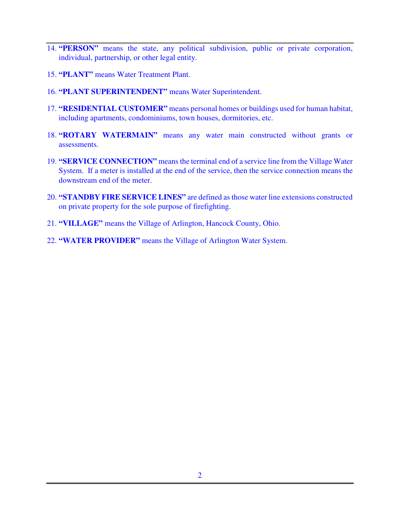- 14. **"PERSON"** means the state, any political subdivision, public or private corporation, individual, partnership, or other legal entity.
- 15. **"PLANT"** means Water Treatment Plant.
- 16. **"PLANT SUPERINTENDENT"** means Water Superintendent.
- 17. **"RESIDENTIAL CUSTOMER"** means personal homes or buildings used for human habitat, including apartments, condominiums, town houses, dormitories, etc.
- 18. **"ROTARY WATERMAIN"** means any water main constructed without grants or assessments.
- 19. **"SERVICE CONNECTION"** means the terminal end of a service line from the Village Water System. If a meter is installed at the end of the service, then the service connection means the downstream end of the meter.
- 20. **"STANDBY FIRE SERVICE LINES"** are defined as those water line extensions constructed on private property for the sole purpose of firefighting.
- 21. **"VILLAGE"** means the Village of Arlington, Hancock County, Ohio.
- 22. **"WATER PROVIDER"** means the Village of Arlington Water System.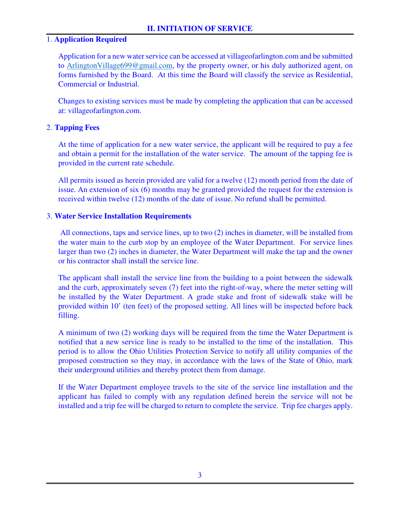### 1. **Application Required**

 Application for a new water service can be accessed at villageofarlington.com and be submitted to ArlingtonVillage699@gmail.com, by the property owner, or his duly authorized agent, on forms furnished by the Board. At this time the Board will classify the service as Residential, Commercial or Industrial.

 Changes to existing services must be made by completing the application that can be accessed at: villageofarlington.com.

### 2. **Tapping Fees**

 At the time of application for a new water service, the applicant will be required to pay a fee and obtain a permit for the installation of the water service. The amount of the tapping fee is provided in the current rate schedule.

 All permits issued as herein provided are valid for a twelve (12) month period from the date of issue. An extension of six (6) months may be granted provided the request for the extension is received within twelve (12) months of the date of issue. No refund shall be permitted.

### 3. **Water Service Installation Requirements**

 All connections, taps and service lines, up to two (2) inches in diameter, will be installed from the water main to the curb stop by an employee of the Water Department. For service lines larger than two (2) inches in diameter, the Water Department will make the tap and the owner or his contractor shall install the service line.

The applicant shall install the service line from the building to a point between the sidewalk and the curb, approximately seven (7) feet into the right-of-way, where the meter setting will be installed by the Water Department. A grade stake and front of sidewalk stake will be provided within 10' (ten feet) of the proposed setting. All lines will be inspected before back filling.

A minimum of two (2) working days will be required from the time the Water Department is notified that a new service line is ready to be installed to the time of the installation. This period is to allow the Ohio Utilities Protection Service to notify all utility companies of the proposed construction so they may, in accordance with the laws of the State of Ohio, mark their underground utilities and thereby protect them from damage.

If the Water Department employee travels to the site of the service line installation and the applicant has failed to comply with any regulation defined herein the service will not be installed and a trip fee will be charged to return to complete the service. Trip fee charges apply.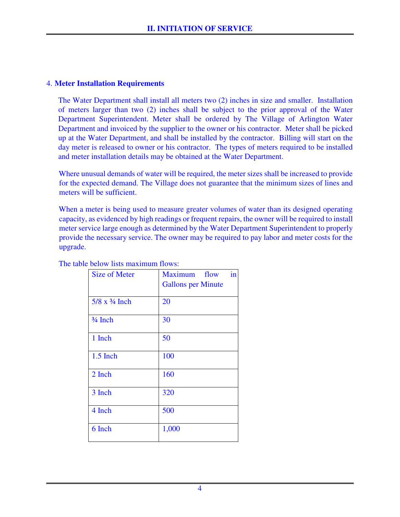### 4. **Meter Installation Requirements**

 The Water Department shall install all meters two (2) inches in size and smaller. Installation of meters larger than two (2) inches shall be subject to the prior approval of the Water Department Superintendent. Meter shall be ordered by The Village of Arlington Water Department and invoiced by the supplier to the owner or his contractor. Meter shall be picked up at the Water Department, and shall be installed by the contractor. Billing will start on the day meter is released to owner or his contractor. The types of meters required to be installed and meter installation details may be obtained at the Water Department.

Where unusual demands of water will be required, the meter sizes shall be increased to provide for the expected demand. The Village does not guarantee that the minimum sizes of lines and meters will be sufficient.

When a meter is being used to measure greater volumes of water than its designed operating capacity, as evidenced by high readings or frequent repairs, the owner will be required to install meter service large enough as determined by the Water Department Superintendent to properly provide the necessary service. The owner may be required to pay labor and meter costs for the upgrade.

| <b>Size of Meter</b>  | in<br>Maximum flow<br><b>Gallons per Minute</b> |
|-----------------------|-------------------------------------------------|
| $5/8 \times 3/4$ Inch | 20                                              |
| $\frac{3}{4}$ Inch    | 30                                              |
| 1 Inch                | 50                                              |
| $1.5$ Inch            | 100                                             |
| 2 Inch                | 160                                             |
| 3 Inch                | 320                                             |
| 4 Inch                | 500                                             |
| 6 Inch                | 1,000                                           |
|                       |                                                 |

The table below lists maximum flows: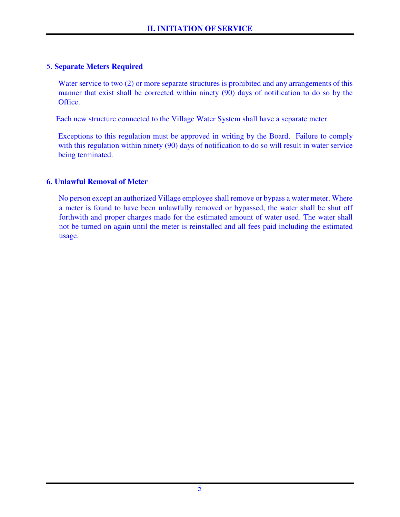### 5. **Separate Meters Required**

Water service to two (2) or more separate structures is prohibited and any arrangements of this manner that exist shall be corrected within ninety (90) days of notification to do so by the Office.

Each new structure connected to the Village Water System shall have a separate meter.

 Exceptions to this regulation must be approved in writing by the Board. Failure to comply with this regulation within ninety (90) days of notification to do so will result in water service being terminated.

### **6. Unlawful Removal of Meter**

No person except an authorized Village employee shall remove or bypass a water meter. Where a meter is found to have been unlawfully removed or bypassed, the water shall be shut off forthwith and proper charges made for the estimated amount of water used. The water shall not be turned on again until the meter is reinstalled and all fees paid including the estimated usage.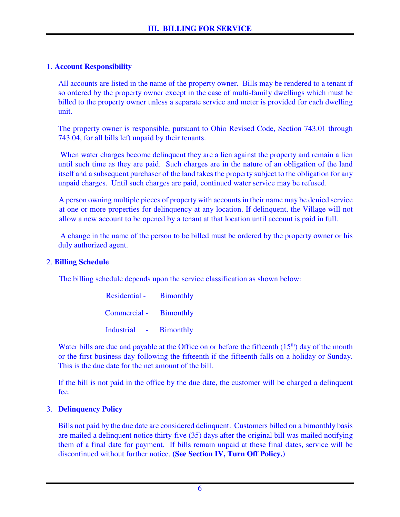## 1. **Account Responsibility**

 All accounts are listed in the name of the property owner. Bills may be rendered to a tenant if so ordered by the property owner except in the case of multi-family dwellings which must be billed to the property owner unless a separate service and meter is provided for each dwelling unit.

 The property owner is responsible, pursuant to Ohio Revised Code, Section 743.01 through 743.04, for all bills left unpaid by their tenants.

When water charges become delinquent they are a lien against the property and remain a lien until such time as they are paid. Such charges are in the nature of an obligation of the land itself and a subsequent purchaser of the land takes the property subject to the obligation for any unpaid charges. Until such charges are paid, continued water service may be refused.

A person owning multiple pieces of property with accounts in their name may be denied service at one or more properties for delinquency at any location. If delinquent, the Village will not allow a new account to be opened by a tenant at that location until account is paid in full.

 A change in the name of the person to be billed must be ordered by the property owner or his duly authorized agent.

### 2. **Billing Schedule**

The billing schedule depends upon the service classification as shown below:

| Residential - Bimonthly |  |
|-------------------------|--|
| Commercial - Bimonthly  |  |
| Industrial - Bimonthly  |  |

Water bills are due and payable at the Office on or before the fifteenth  $(15<sup>th</sup>)$  day of the month or the first business day following the fifteenth if the fifteenth falls on a holiday or Sunday. This is the due date for the net amount of the bill.

 If the bill is not paid in the office by the due date, the customer will be charged a delinquent fee.

### 3. **Delinquency Policy**

 Bills not paid by the due date are considered delinquent. Customers billed on a bimonthly basis are mailed a delinquent notice thirty-five (35) days after the original bill was mailed notifying them of a final date for payment. If bills remain unpaid at these final dates, service will be discontinued without further notice. **(See Section IV, Turn Off Policy.)**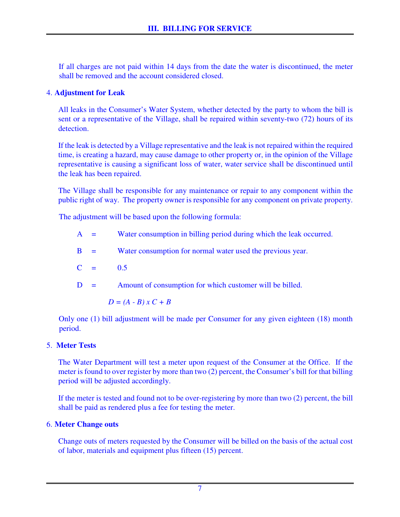If all charges are not paid within 14 days from the date the water is discontinued, the meter shall be removed and the account considered closed.

### 4. **Adjustment for Leak**

 All leaks in the Consumer's Water System, whether detected by the party to whom the bill is sent or a representative of the Village, shall be repaired within seventy-two (72) hours of its detection.

 If the leak is detected by a Village representative and the leak is not repaired within the required time, is creating a hazard, may cause damage to other property or, in the opinion of the Village representative is causing a significant loss of water, water service shall be discontinued until the leak has been repaired.

The Village shall be responsible for any maintenance or repair to any component within the public right of way. The property owner is responsible for any component on private property.

The adjustment will be based upon the following formula:

- A = Water consumption in billing period during which the leak occurred.
- B = Water consumption for normal water used the previous year.
- $C = 0.5$

 $D =$  Amount of consumption for which customer will be billed.

$$
D = (A - B) x C + B
$$

Only one (1) bill adjustment will be made per Consumer for any given eighteen (18) month period.

## 5. **Meter Tests**

 The Water Department will test a meter upon request of the Consumer at the Office. If the meter is found to over register by more than two (2) percent, the Consumer's bill for that billing period will be adjusted accordingly.

 If the meter is tested and found not to be over-registering by more than two (2) percent, the bill shall be paid as rendered plus a fee for testing the meter.

## 6. **Meter Change outs**

 Change outs of meters requested by the Consumer will be billed on the basis of the actual cost of labor, materials and equipment plus fifteen (15) percent.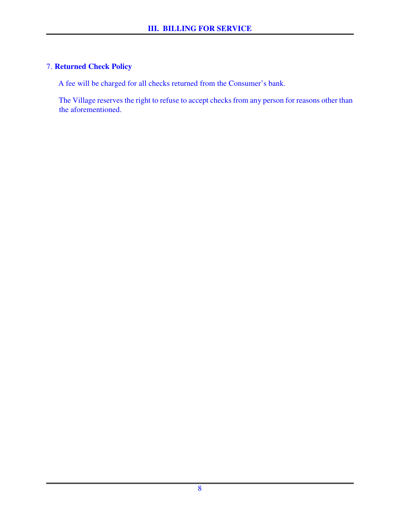## 7. **Returned Check Policy**

A fee will be charged for all checks returned from the Consumer's bank.

The Village reserves the right to refuse to accept checks from any person for reasons other than the aforementioned.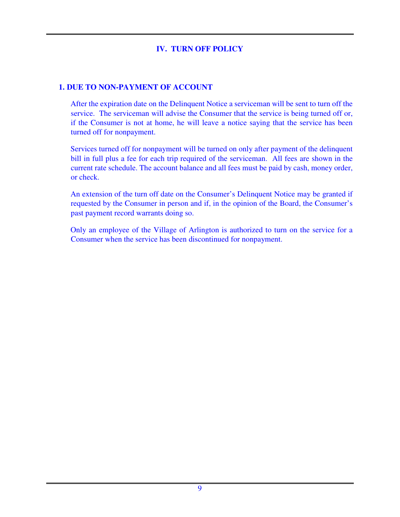## **IV. TURN OFF POLICY**

### **1. DUE TO NON-PAYMENT OF ACCOUNT**

After the expiration date on the Delinquent Notice a serviceman will be sent to turn off the service. The serviceman will advise the Consumer that the service is being turned off or, if the Consumer is not at home, he will leave a notice saying that the service has been turned off for nonpayment.

Services turned off for nonpayment will be turned on only after payment of the delinquent bill in full plus a fee for each trip required of the serviceman. All fees are shown in the current rate schedule. The account balance and all fees must be paid by cash, money order, or check.

An extension of the turn off date on the Consumer's Delinquent Notice may be granted if requested by the Consumer in person and if, in the opinion of the Board, the Consumer's past payment record warrants doing so.

Only an employee of the Village of Arlington is authorized to turn on the service for a Consumer when the service has been discontinued for nonpayment.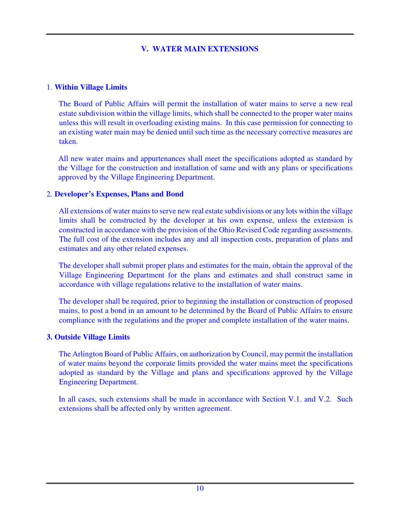## **V. WATER MAIN EXTENSIONS**

### 1. **Within Village Limits**

The Board of Public Affairs will permit the installation of water mains to serve a new real estate subdivision within the village limits, which shall be connected to the proper water mains unless this will result in overloading existing mains. In this case permission for connecting to an existing water main may be denied until such time as the necessary corrective measures are taken.

 All new water mains and appurtenances shall meet the specifications adopted as standard by the Village for the construction and installation of same and with any plans or specifications approved by the Village Engineering Department.

### 2. **Developer's Expenses, Plans and Bond**

All extensions of water mains to serve new real estate subdivisions or any lots within the village limits shall be constructed by the developer at his own expense, unless the extension is constructed in accordance with the provision of the Ohio Revised Code regarding assessments. The full cost of the extension includes any and all inspection costs, preparation of plans and estimates and any other related expenses.

The developer shall submit proper plans and estimates for the main, obtain the approval of the Village Engineering Department for the plans and estimates and shall construct same in accordance with village regulations relative to the installation of water mains.

The developer shall be required, prior to beginning the installation or construction of proposed mains, to post a bond in an amount to be determined by the Board of Public Affairs to ensure compliance with the regulations and the proper and complete installation of the water mains.

### **3. Outside Village Limits**

The Arlington Board of Public Affairs, on authorization by Council, may permit the installation of water mains beyond the corporate limits provided the water mains meet the specifications adopted as standard by the Village and plans and specifications approved by the Village Engineering Department.

In all cases, such extensions shall be made in accordance with Section V.1. and V.2. Such extensions shall be affected only by written agreement.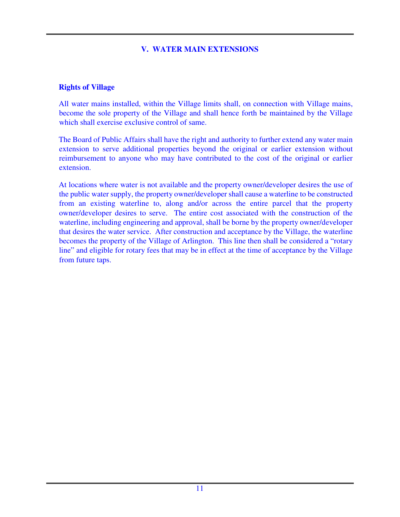### **V. WATER MAIN EXTENSIONS**

#### **Rights of Village**

All water mains installed, within the Village limits shall, on connection with Village mains, become the sole property of the Village and shall hence forth be maintained by the Village which shall exercise exclusive control of same.

The Board of Public Affairs shall have the right and authority to further extend any water main extension to serve additional properties beyond the original or earlier extension without reimbursement to anyone who may have contributed to the cost of the original or earlier extension.

At locations where water is not available and the property owner/developer desires the use of the public water supply, the property owner/developer shall cause a waterline to be constructed from an existing waterline to, along and/or across the entire parcel that the property owner/developer desires to serve. The entire cost associated with the construction of the waterline, including engineering and approval, shall be borne by the property owner/developer that desires the water service. After construction and acceptance by the Village, the waterline becomes the property of the Village of Arlington. This line then shall be considered a "rotary line" and eligible for rotary fees that may be in effect at the time of acceptance by the Village from future taps.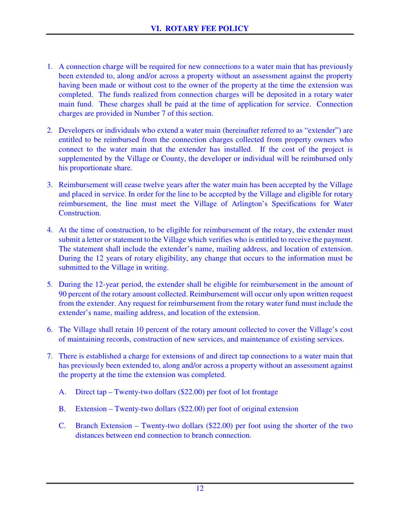- 1. A connection charge will be required for new connections to a water main that has previously been extended to, along and/or across a property without an assessment against the property having been made or without cost to the owner of the property at the time the extension was completed. The funds realized from connection charges will be deposited in a rotary water main fund. These charges shall be paid at the time of application for service. Connection charges are provided in Number 7 of this section.
- 2. Developers or individuals who extend a water main (hereinafter referred to as "extender") are entitled to be reimbursed from the connection charges collected from property owners who connect to the water main that the extender has installed. If the cost of the project is supplemented by the Village or County, the developer or individual will be reimbursed only his proportionate share.
- 3. Reimbursement will cease twelve years after the water main has been accepted by the Village and placed in service. In order for the line to be accepted by the Village and eligible for rotary reimbursement, the line must meet the Village of Arlington's Specifications for Water Construction.
- 4. At the time of construction, to be eligible for reimbursement of the rotary, the extender must submit a letter or statement to the Village which verifies who is entitled to receive the payment. The statement shall include the extender's name, mailing address, and location of extension. During the 12 years of rotary eligibility, any change that occurs to the information must be submitted to the Village in writing.
- 5. During the 12-year period, the extender shall be eligible for reimbursement in the amount of 90 percent of the rotary amount collected. Reimbursement will occur only upon written request from the extender. Any request for reimbursement from the rotary water fund must include the extender's name, mailing address, and location of the extension.
- 6. The Village shall retain 10 percent of the rotary amount collected to cover the Village's cost of maintaining records, construction of new services, and maintenance of existing services.
- 7. There is established a charge for extensions of and direct tap connections to a water main that has previously been extended to, along and/or across a property without an assessment against the property at the time the extension was completed.
	- A. Direct tap Twenty-two dollars (\$22.00) per foot of lot frontage
	- B. Extension Twenty-two dollars (\$22.00) per foot of original extension
	- C. Branch Extension Twenty-two dollars (\$22.00) per foot using the shorter of the two distances between end connection to branch connection.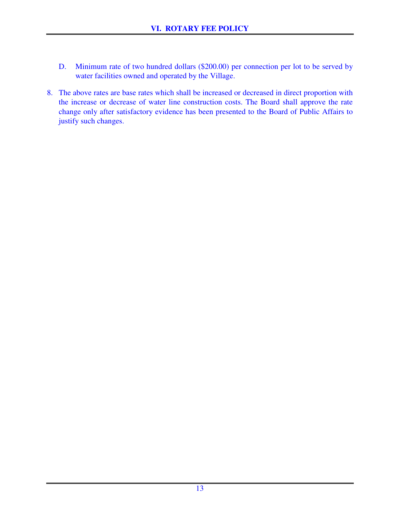- D. Minimum rate of two hundred dollars (\$200.00) per connection per lot to be served by water facilities owned and operated by the Village.
- 8. The above rates are base rates which shall be increased or decreased in direct proportion with the increase or decrease of water line construction costs. The Board shall approve the rate change only after satisfactory evidence has been presented to the Board of Public Affairs to justify such changes.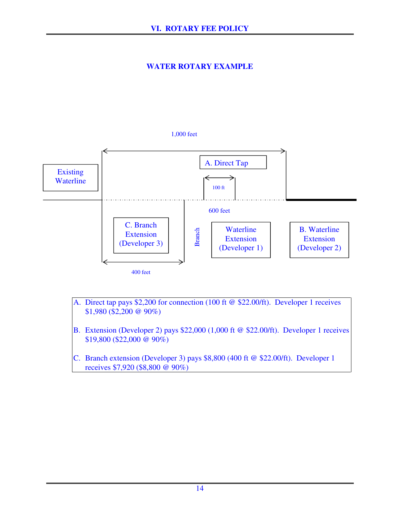## **WATER ROTARY EXAMPLE**

#### 1,000 feet



- A. Direct tap pays \$2,200 for connection (100 ft @ \$22.00/ft). Developer 1 receives \$1,980 (\$2,200 @ 90%)
- B. Extension (Developer 2) pays \$22,000 (1,000 ft @ \$22.00/ft). Developer 1 receives \$19,800 (\$22,000 @ 90%)
- C. Branch extension (Developer 3) pays \$8,800 (400 ft @ \$22.00/ft). Developer 1 receives \$7,920 (\$8,800 @ 90%)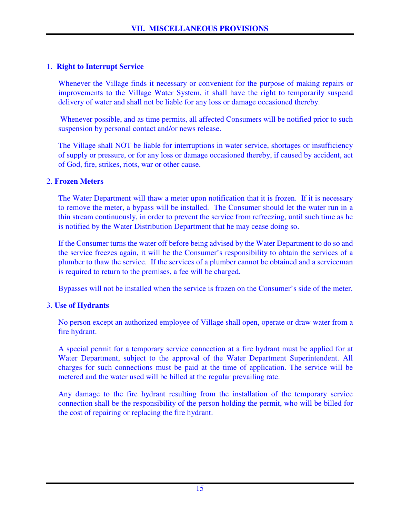## 1. **Right to Interrupt Service**

 Whenever the Village finds it necessary or convenient for the purpose of making repairs or improvements to the Village Water System, it shall have the right to temporarily suspend delivery of water and shall not be liable for any loss or damage occasioned thereby.

 Whenever possible, and as time permits, all affected Consumers will be notified prior to such suspension by personal contact and/or news release.

 The Village shall NOT be liable for interruptions in water service, shortages or insufficiency of supply or pressure, or for any loss or damage occasioned thereby, if caused by accident, act of God, fire, strikes, riots, war or other cause.

### 2. **Frozen Meters**

 The Water Department will thaw a meter upon notification that it is frozen. If it is necessary to remove the meter, a bypass will be installed. The Consumer should let the water run in a thin stream continuously, in order to prevent the service from refreezing, until such time as he is notified by the Water Distribution Department that he may cease doing so.

 If the Consumer turns the water off before being advised by the Water Department to do so and the service freezes again, it will be the Consumer's responsibility to obtain the services of a plumber to thaw the service. If the services of a plumber cannot be obtained and a serviceman is required to return to the premises, a fee will be charged.

Bypasses will not be installed when the service is frozen on the Consumer's side of the meter.

### 3. **Use of Hydrants**

 No person except an authorized employee of Village shall open, operate or draw water from a fire hydrant.

 A special permit for a temporary service connection at a fire hydrant must be applied for at Water Department, subject to the approval of the Water Department Superintendent. All charges for such connections must be paid at the time of application. The service will be metered and the water used will be billed at the regular prevailing rate.

 Any damage to the fire hydrant resulting from the installation of the temporary service connection shall be the responsibility of the person holding the permit, who will be billed for the cost of repairing or replacing the fire hydrant.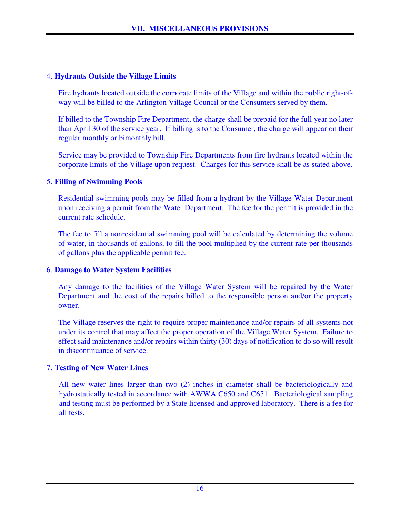### 4. **Hydrants Outside the Village Limits**

 Fire hydrants located outside the corporate limits of the Village and within the public right-ofway will be billed to the Arlington Village Council or the Consumers served by them.

 If billed to the Township Fire Department, the charge shall be prepaid for the full year no later than April 30 of the service year. If billing is to the Consumer, the charge will appear on their regular monthly or bimonthly bill.

 Service may be provided to Township Fire Departments from fire hydrants located within the corporate limits of the Village upon request. Charges for this service shall be as stated above.

### 5. **Filling of Swimming Pools**

 Residential swimming pools may be filled from a hydrant by the Village Water Department upon receiving a permit from the Water Department. The fee for the permit is provided in the current rate schedule.

 The fee to fill a nonresidential swimming pool will be calculated by determining the volume of water, in thousands of gallons, to fill the pool multiplied by the current rate per thousands of gallons plus the applicable permit fee.

### 6. **Damage to Water System Facilities**

 Any damage to the facilities of the Village Water System will be repaired by the Water Department and the cost of the repairs billed to the responsible person and/or the property owner.

 The Village reserves the right to require proper maintenance and/or repairs of all systems not under its control that may affect the proper operation of the Village Water System. Failure to effect said maintenance and/or repairs within thirty (30) days of notification to do so will result in discontinuance of service.

## 7. **Testing of New Water Lines**

All new water lines larger than two (2) inches in diameter shall be bacteriologically and hydrostatically tested in accordance with AWWA C650 and C651. Bacteriological sampling and testing must be performed by a State licensed and approved laboratory. There is a fee for all tests.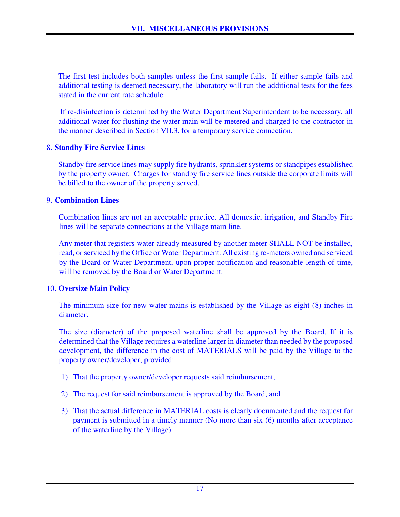The first test includes both samples unless the first sample fails. If either sample fails and additional testing is deemed necessary, the laboratory will run the additional tests for the fees stated in the current rate schedule.

 If re-disinfection is determined by the Water Department Superintendent to be necessary, all additional water for flushing the water main will be metered and charged to the contractor in the manner described in Section VII.3. for a temporary service connection.

### 8. **Standby Fire Service Lines**

 Standby fire service lines may supply fire hydrants, sprinkler systems or standpipes established by the property owner. Charges for standby fire service lines outside the corporate limits will be billed to the owner of the property served.

### 9. **Combination Lines**

Combination lines are not an acceptable practice. All domestic, irrigation, and Standby Fire lines will be separate connections at the Village main line.

Any meter that registers water already measured by another meter SHALL NOT be installed, read, or serviced by the Office or Water Department. All existing re-meters owned and serviced by the Board or Water Department, upon proper notification and reasonable length of time, will be removed by the Board or Water Department.

### 10. **Oversize Main Policy**

The minimum size for new water mains is established by the Village as eight (8) inches in diameter.

The size (diameter) of the proposed waterline shall be approved by the Board. If it is determined that the Village requires a waterline larger in diameter than needed by the proposed development, the difference in the cost of MATERIALS will be paid by the Village to the property owner/developer, provided:

- 1) That the property owner/developer requests said reimbursement,
- 2) The request for said reimbursement is approved by the Board, and
- 3) That the actual difference in MATERIAL costs is clearly documented and the request for payment is submitted in a timely manner (No more than six (6) months after acceptance of the waterline by the Village).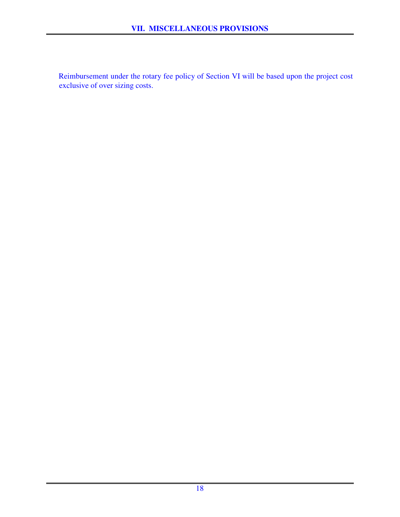Reimbursement under the rotary fee policy of Section VI will be based upon the project cost exclusive of over sizing costs.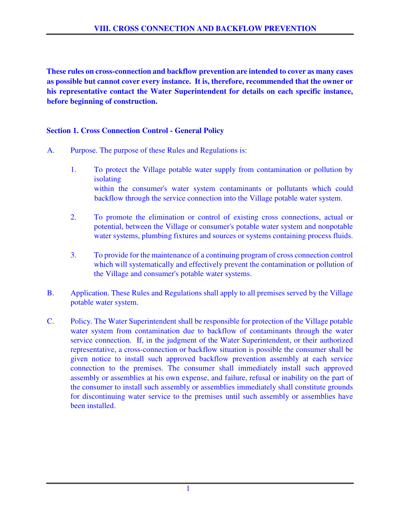**These rules on cross-connection and backflow prevention are intended to cover as many cases as possible but cannot cover every instance. It is, therefore, recommended that the owner or his representative contact the Water Superintendent for details on each specific instance, before beginning of construction.**

### **Section 1. Cross Connection Control - General Policy**

- A. Purpose. The purpose of these Rules and Regulations is:
	- 1. To protect the Village potable water supply from contamination or pollution by isolating within the consumer's water system contaminants or pollutants which could backflow through the service connection into the Village potable water system.
	- 2. To promote the elimination or control of existing cross connections, actual or potential, between the Village or consumer's potable water system and nonpotable water systems, plumbing fixtures and sources or systems containing process fluids.
	- 3. To provide for the maintenance of a continuing program of cross connection control which will systematically and effectively prevent the contamination or pollution of the Village and consumer's potable water systems.
- B. Application. These Rules and Regulations shall apply to all premises served by the Village potable water system.
- C. Policy. The Water Superintendent shall be responsible for protection of the Village potable water system from contamination due to backflow of contaminants through the water service connection. If, in the judgment of the Water Superintendent, or their authorized representative, a cross-connection or backflow situation is possible the consumer shall be given notice to install such approved backflow prevention assembly at each service connection to the premises. The consumer shall immediately install such approved assembly or assemblies at his own expense, and failure, refusal or inability on the part of the consumer to install such assembly or assemblies immediately shall constitute grounds for discontinuing water service to the premises until such assembly or assemblies have been installed.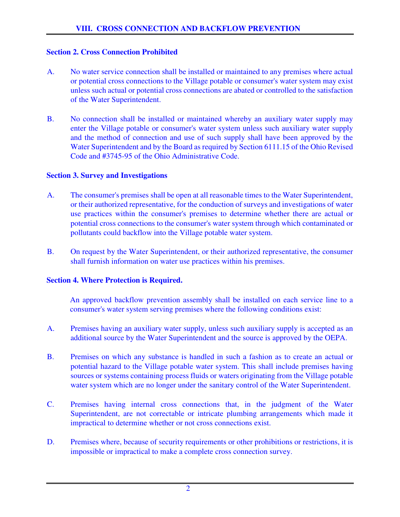### **Section 2. Cross Connection Prohibited**

- A. No water service connection shall be installed or maintained to any premises where actual or potential cross connections to the Village potable or consumer's water system may exist unless such actual or potential cross connections are abated or controlled to the satisfaction of the Water Superintendent.
- B. No connection shall be installed or maintained whereby an auxiliary water supply may enter the Village potable or consumer's water system unless such auxiliary water supply and the method of connection and use of such supply shall have been approved by the Water Superintendent and by the Board as required by Section 6111.15 of the Ohio Revised Code and #3745-95 of the Ohio Administrative Code.

### **Section 3. Survey and Investigations**

- A. The consumer's premises shall be open at all reasonable times to the Water Superintendent, or their authorized representative, for the conduction of surveys and investigations of water use practices within the consumer's premises to determine whether there are actual or potential cross connections to the consumer's water system through which contaminated or pollutants could backflow into the Village potable water system.
- B. On request by the Water Superintendent, or their authorized representative, the consumer shall furnish information on water use practices within his premises.

### **Section 4. Where Protection is Required.**

 An approved backflow prevention assembly shall be installed on each service line to a consumer's water system serving premises where the following conditions exist:

- A. Premises having an auxiliary water supply, unless such auxiliary supply is accepted as an additional source by the Water Superintendent and the source is approved by the OEPA.
- B. Premises on which any substance is handled in such a fashion as to create an actual or potential hazard to the Village potable water system. This shall include premises having sources or systems containing process fluids or waters originating from the Village potable water system which are no longer under the sanitary control of the Water Superintendent.
- C. Premises having internal cross connections that, in the judgment of the Water Superintendent, are not correctable or intricate plumbing arrangements which made it impractical to determine whether or not cross connections exist.
- D. Premises where, because of security requirements or other prohibitions or restrictions, it is impossible or impractical to make a complete cross connection survey.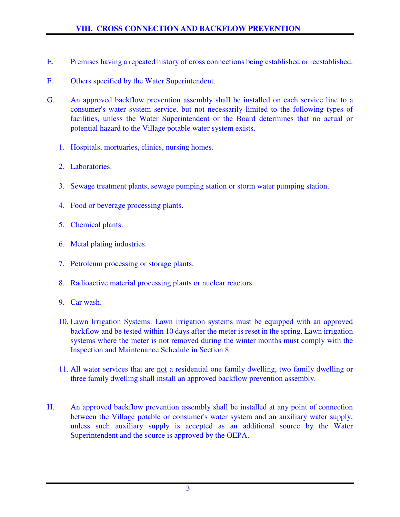- E. Premises having a repeated history of cross connections being established or reestablished.
- F. Others specified by the Water Superintendent.
- G. An approved backflow prevention assembly shall be installed on each service line to a consumer's water system service, but not necessarily limited to the following types of facilities, unless the Water Superintendent or the Board determines that no actual or potential hazard to the Village potable water system exists.
	- 1. Hospitals, mortuaries, clinics, nursing homes.
	- 2. Laboratories.
	- 3. Sewage treatment plants, sewage pumping station or storm water pumping station.
	- 4. Food or beverage processing plants.
	- 5. Chemical plants.
	- 6. Metal plating industries.
	- 7. Petroleum processing or storage plants.
	- 8. Radioactive material processing plants or nuclear reactors.
	- 9. Car wash.
	- 10. Lawn Irrigation Systems. Lawn irrigation systems must be equipped with an approved backflow and be tested within 10 days after the meter is reset in the spring. Lawn irrigation systems where the meter is not removed during the winter months must comply with the Inspection and Maintenance Schedule in Section 8.
	- 11. All water services that are not a residential one family dwelling, two family dwelling or three family dwelling shall install an approved backflow prevention assembly.
- H. An approved backflow prevention assembly shall be installed at any point of connection between the Village potable or consumer's water system and an auxiliary water supply, unless such auxiliary supply is accepted as an additional source by the Water Superintendent and the source is approved by the OEPA.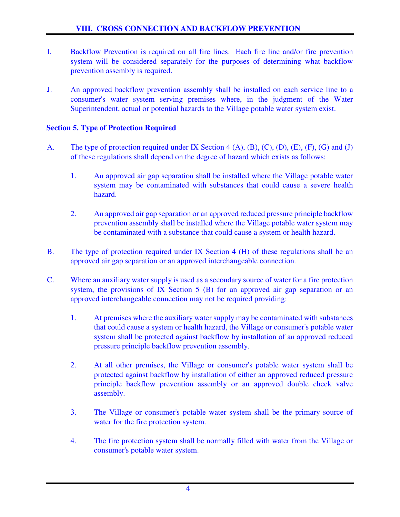- I. Backflow Prevention is required on all fire lines. Each fire line and/or fire prevention system will be considered separately for the purposes of determining what backflow prevention assembly is required.
- J. An approved backflow prevention assembly shall be installed on each service line to a consumer's water system serving premises where, in the judgment of the Water Superintendent, actual or potential hazards to the Village potable water system exist.

### **Section 5. Type of Protection Required**

- A. The type of protection required under IX Section 4 (A), (B), (C), (D), (E), (F), (G) and (J) of these regulations shall depend on the degree of hazard which exists as follows:
	- 1. An approved air gap separation shall be installed where the Village potable water system may be contaminated with substances that could cause a severe health hazard.
	- 2. An approved air gap separation or an approved reduced pressure principle backflow prevention assembly shall be installed where the Village potable water system may be contaminated with a substance that could cause a system or health hazard.
- B. The type of protection required under IX Section 4 (H) of these regulations shall be an approved air gap separation or an approved interchangeable connection.
- C. Where an auxiliary water supply is used as a secondary source of water for a fire protection system, the provisions of IX Section 5 (B) for an approved air gap separation or an approved interchangeable connection may not be required providing:
	- 1. At premises where the auxiliary water supply may be contaminated with substances that could cause a system or health hazard, the Village or consumer's potable water system shall be protected against backflow by installation of an approved reduced pressure principle backflow prevention assembly.
	- 2. At all other premises, the Village or consumer's potable water system shall be protected against backflow by installation of either an approved reduced pressure principle backflow prevention assembly or an approved double check valve assembly.
	- 3. The Village or consumer's potable water system shall be the primary source of water for the fire protection system.
	- 4. The fire protection system shall be normally filled with water from the Village or consumer's potable water system.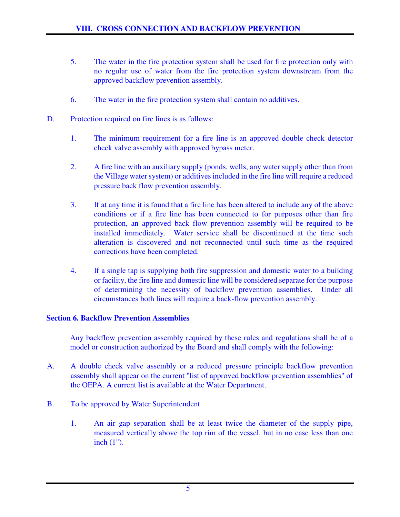- 5. The water in the fire protection system shall be used for fire protection only with no regular use of water from the fire protection system downstream from the approved backflow prevention assembly.
- 6. The water in the fire protection system shall contain no additives.
- D. Protection required on fire lines is as follows:
	- 1. The minimum requirement for a fire line is an approved double check detector check valve assembly with approved bypass meter.
	- 2. A fire line with an auxiliary supply (ponds, wells, any water supply other than from the Village water system) or additives included in the fire line will require a reduced pressure back flow prevention assembly.
	- 3. If at any time it is found that a fire line has been altered to include any of the above conditions or if a fire line has been connected to for purposes other than fire protection, an approved back flow prevention assembly will be required to be installed immediately. Water service shall be discontinued at the time such alteration is discovered and not reconnected until such time as the required corrections have been completed.
	- 4. If a single tap is supplying both fire suppression and domestic water to a building or facility, the fire line and domestic line will be considered separate for the purpose of determining the necessity of backflow prevention assemblies. Under all circumstances both lines will require a back-flow prevention assembly.

### **Section 6. Backflow Prevention Assemblies**

 Any backflow prevention assembly required by these rules and regulations shall be of a model or construction authorized by the Board and shall comply with the following:

- A. A double check valve assembly or a reduced pressure principle backflow prevention assembly shall appear on the current "list of approved backflow prevention assemblies" of the OEPA. A current list is available at the Water Department.
- B. To be approved by Water Superintendent
	- 1. An air gap separation shall be at least twice the diameter of the supply pipe, measured vertically above the top rim of the vessel, but in no case less than one inch (1").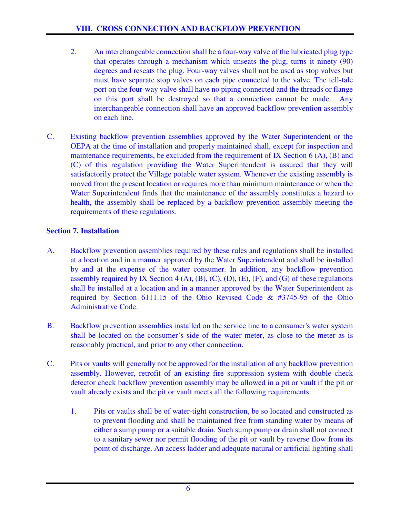- 2. An interchangeable connection shall be a four-way valve of the lubricated plug type that operates through a mechanism which unseats the plug, turns it ninety (90) degrees and reseats the plug. Four-way valves shall not be used as stop valves but must have separate stop valves on each pipe connected to the valve. The tell-tale port on the four-way valve shall have no piping connected and the threads or flange on this port shall be destroyed so that a connection cannot be made. Any interchangeable connection shall have an approved backflow prevention assembly on each line.
- C. Existing backflow prevention assemblies approved by the Water Superintendent or the OEPA at the time of installation and properly maintained shall, except for inspection and maintenance requirements, be excluded from the requirement of IX Section 6 (A), (B) and (C) of this regulation providing the Water Superintendent is assured that they will satisfactorily protect the Village potable water system. Whenever the existing assembly is moved from the present location or requires more than minimum maintenance or when the Water Superintendent finds that the maintenance of the assembly constitutes a hazard to health, the assembly shall be replaced by a backflow prevention assembly meeting the requirements of these regulations.

## **Section 7. Installation**

- A. Backflow prevention assemblies required by these rules and regulations shall be installed at a location and in a manner approved by the Water Superintendent and shall be installed by and at the expense of the water consumer. In addition, any backflow prevention assembly required by IX Section  $4(A)$ ,  $(B)$ ,  $(C)$ ,  $(D)$ ,  $(E)$ ,  $(F)$ , and  $(G)$  of these regulations shall be installed at a location and in a manner approved by the Water Superintendent as required by Section 6111.15 of the Ohio Revised Code & #3745-95 of the Ohio Administrative Code.
- B. Backflow prevention assemblies installed on the service line to a consumer's water system shall be located on the consumer's side of the water meter, as close to the meter as is reasonably practical, and prior to any other connection.
- C. Pits or vaults will generally not be approved for the installation of any backflow prevention assembly. However, retrofit of an existing fire suppression system with double check detector check backflow prevention assembly may be allowed in a pit or vault if the pit or vault already exists and the pit or vault meets all the following requirements:
	- 1. Pits or vaults shall be of water-tight construction, be so located and constructed as to prevent flooding and shall be maintained free from standing water by means of either a sump pump or a suitable drain. Such sump pump or drain shall not connect to a sanitary sewer nor permit flooding of the pit or vault by reverse flow from its point of discharge. An access ladder and adequate natural or artificial lighting shall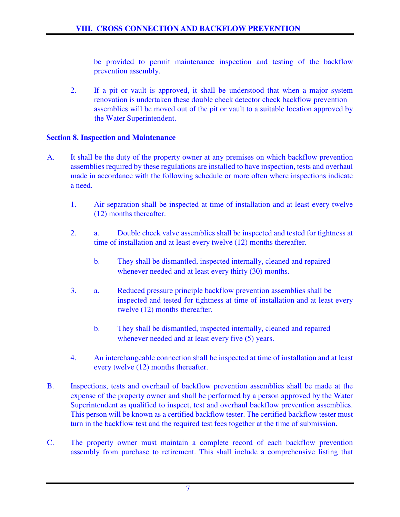be provided to permit maintenance inspection and testing of the backflow prevention assembly.

2. If a pit or vault is approved, it shall be understood that when a major system renovation is undertaken these double check detector check backflow prevention assemblies will be moved out of the pit or vault to a suitable location approved by the Water Superintendent.

### **Section 8. Inspection and Maintenance**

- A. It shall be the duty of the property owner at any premises on which backflow prevention assemblies required by these regulations are installed to have inspection, tests and overhaul made in accordance with the following schedule or more often where inspections indicate a need.
	- 1. Air separation shall be inspected at time of installation and at least every twelve (12) months thereafter.
	- 2. a. Double check valve assemblies shall be inspected and tested for tightness at time of installation and at least every twelve (12) months thereafter.
		- b. They shall be dismantled, inspected internally, cleaned and repaired whenever needed and at least every thirty (30) months.
	- 3. a. Reduced pressure principle backflow prevention assemblies shall be inspected and tested for tightness at time of installation and at least every twelve (12) months thereafter.
		- b. They shall be dismantled, inspected internally, cleaned and repaired whenever needed and at least every five  $(5)$  years.
	- 4. An interchangeable connection shall be inspected at time of installation and at least every twelve (12) months thereafter.
- B. Inspections, tests and overhaul of backflow prevention assemblies shall be made at the expense of the property owner and shall be performed by a person approved by the Water Superintendent as qualified to inspect, test and overhaul backflow prevention assemblies. This person will be known as a certified backflow tester. The certified backflow tester must turn in the backflow test and the required test fees together at the time of submission.
- C. The property owner must maintain a complete record of each backflow prevention assembly from purchase to retirement. This shall include a comprehensive listing that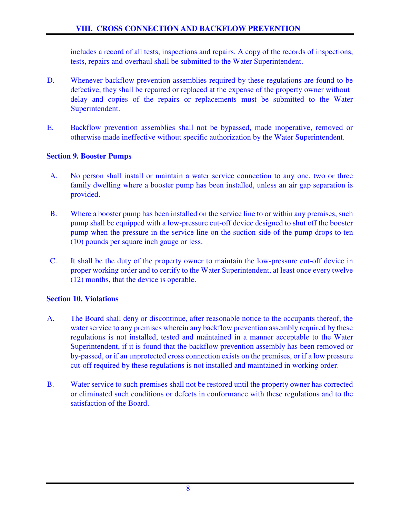includes a record of all tests, inspections and repairs. A copy of the records of inspections, tests, repairs and overhaul shall be submitted to the Water Superintendent.

- D. Whenever backflow prevention assemblies required by these regulations are found to be defective, they shall be repaired or replaced at the expense of the property owner without delay and copies of the repairs or replacements must be submitted to the Water Superintendent.
- E. Backflow prevention assemblies shall not be bypassed, made inoperative, removed or otherwise made ineffective without specific authorization by the Water Superintendent.

### **Section 9. Booster Pumps**

- A. No person shall install or maintain a water service connection to any one, two or three family dwelling where a booster pump has been installed, unless an air gap separation is provided.
- B. Where a booster pump has been installed on the service line to or within any premises, such pump shall be equipped with a low-pressure cut-off device designed to shut off the booster pump when the pressure in the service line on the suction side of the pump drops to ten (10) pounds per square inch gauge or less.
- C. It shall be the duty of the property owner to maintain the low-pressure cut-off device in proper working order and to certify to the Water Superintendent, at least once every twelve (12) months, that the device is operable.

### **Section 10. Violations**

- A. The Board shall deny or discontinue, after reasonable notice to the occupants thereof, the water service to any premises wherein any backflow prevention assembly required by these regulations is not installed, tested and maintained in a manner acceptable to the Water Superintendent, if it is found that the backflow prevention assembly has been removed or by-passed, or if an unprotected cross connection exists on the premises, or if a low pressure cut-off required by these regulations is not installed and maintained in working order.
- B. Water service to such premises shall not be restored until the property owner has corrected or eliminated such conditions or defects in conformance with these regulations and to the satisfaction of the Board.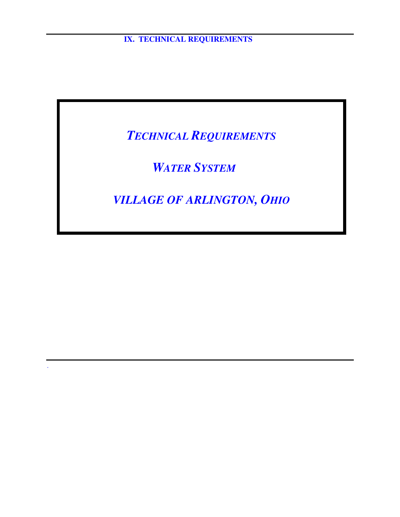**IX. TECHNICAL REQUIREMENTS** 

*TECHNICAL REQUIREMENTS*

 *WATER SYSTEM*

.

*VILLAGE OF ARLINGTON, OHIO*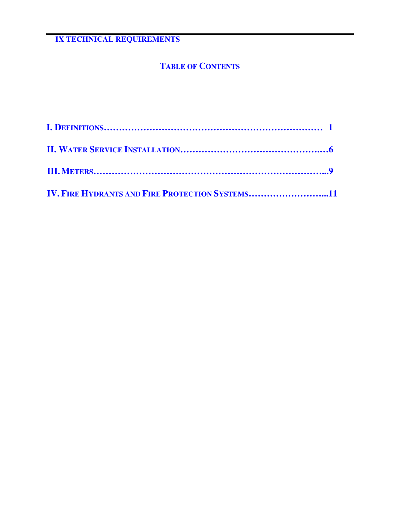# **TABLE OF CONTENTS**

| <b>IV. FIRE HYDRANTS AND FIRE PROTECTION SYSTEMS11</b> |  |
|--------------------------------------------------------|--|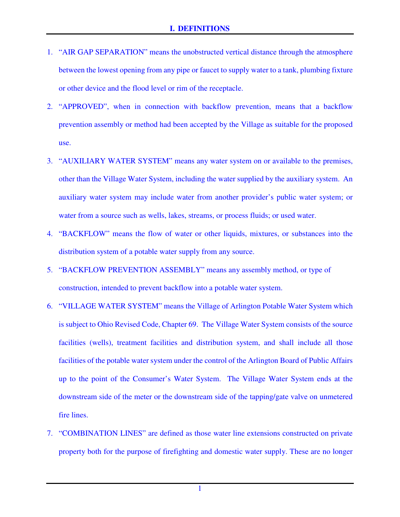- 1. "AIR GAP SEPARATION" means the unobstructed vertical distance through the atmosphere between the lowest opening from any pipe or faucet to supply water to a tank, plumbing fixture or other device and the flood level or rim of the receptacle.
- 2. "APPROVED", when in connection with backflow prevention, means that a backflow prevention assembly or method had been accepted by the Village as suitable for the proposed use.
- 3. "AUXILIARY WATER SYSTEM" means any water system on or available to the premises, other than the Village Water System, including the water supplied by the auxiliary system. An auxiliary water system may include water from another provider's public water system; or water from a source such as wells, lakes, streams, or process fluids; or used water.
- 4. "BACKFLOW" means the flow of water or other liquids, mixtures, or substances into the distribution system of a potable water supply from any source.
- 5. "BACKFLOW PREVENTION ASSEMBLY" means any assembly method, or type of construction, intended to prevent backflow into a potable water system.
- 6. "VILLAGE WATER SYSTEM" means the Village of Arlington Potable Water System which is subject to Ohio Revised Code, Chapter 69. The Village Water System consists of the source facilities (wells), treatment facilities and distribution system, and shall include all those facilities of the potable water system under the control of the Arlington Board of Public Affairs up to the point of the Consumer's Water System. The Village Water System ends at the downstream side of the meter or the downstream side of the tapping/gate valve on unmetered fire lines.
- 7. "COMBINATION LINES" are defined as those water line extensions constructed on private property both for the purpose of firefighting and domestic water supply. These are no longer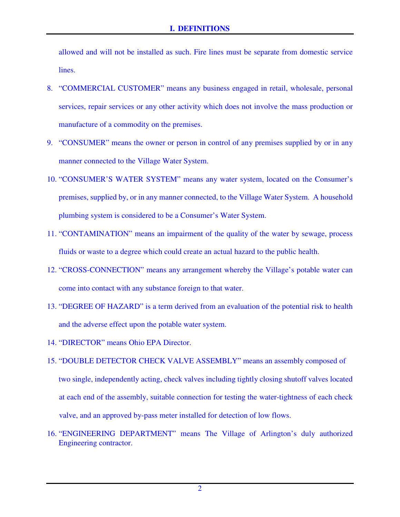allowed and will not be installed as such. Fire lines must be separate from domestic service lines.

- 8. "COMMERCIAL CUSTOMER" means any business engaged in retail, wholesale, personal services, repair services or any other activity which does not involve the mass production or manufacture of a commodity on the premises.
- 9. "CONSUMER" means the owner or person in control of any premises supplied by or in any manner connected to the Village Water System.
- 10. "CONSUMER'S WATER SYSTEM" means any water system, located on the Consumer's premises, supplied by, or in any manner connected, to the Village Water System. A household plumbing system is considered to be a Consumer's Water System.
- 11. "CONTAMINATION" means an impairment of the quality of the water by sewage, process fluids or waste to a degree which could create an actual hazard to the public health.
- 12. "CROSS-CONNECTION" means any arrangement whereby the Village's potable water can come into contact with any substance foreign to that water.
- 13. "DEGREE OF HAZARD" is a term derived from an evaluation of the potential risk to health and the adverse effect upon the potable water system.
- 14. "DIRECTOR" means Ohio EPA Director.
- 15. "DOUBLE DETECTOR CHECK VALVE ASSEMBLY" means an assembly composed of two single, independently acting, check valves including tightly closing shutoff valves located at each end of the assembly, suitable connection for testing the water-tightness of each check valve, and an approved by-pass meter installed for detection of low flows.
- 16. "ENGINEERING DEPARTMENT" means The Village of Arlington's duly authorized Engineering contractor.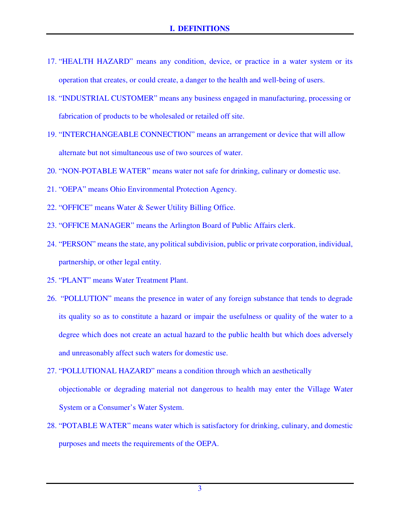- 17. "HEALTH HAZARD" means any condition, device, or practice in a water system or its operation that creates, or could create, a danger to the health and well-being of users.
- 18. "INDUSTRIAL CUSTOMER" means any business engaged in manufacturing, processing or fabrication of products to be wholesaled or retailed off site.
- 19. "INTERCHANGEABLE CONNECTION" means an arrangement or device that will allow alternate but not simultaneous use of two sources of water.
- 20. "NON-POTABLE WATER" means water not safe for drinking, culinary or domestic use.
- 21. "OEPA" means Ohio Environmental Protection Agency.
- 22. "OFFICE" means Water & Sewer Utility Billing Office.
- 23. "OFFICE MANAGER" means the Arlington Board of Public Affairs clerk.
- 24. "PERSON" means the state, any political subdivision, public or private corporation, individual, partnership, or other legal entity.
- 25. "PLANT" means Water Treatment Plant.
- 26. "POLLUTION" means the presence in water of any foreign substance that tends to degrade its quality so as to constitute a hazard or impair the usefulness or quality of the water to a degree which does not create an actual hazard to the public health but which does adversely and unreasonably affect such waters for domestic use.
- 27. "POLLUTIONAL HAZARD" means a condition through which an aesthetically objectionable or degrading material not dangerous to health may enter the Village Water System or a Consumer's Water System.
- 28. "POTABLE WATER" means water which is satisfactory for drinking, culinary, and domestic purposes and meets the requirements of the OEPA.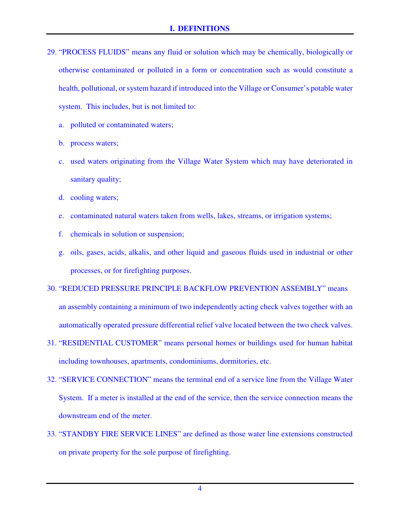- 29. "PROCESS FLUIDS" means any fluid or solution which may be chemically, biologically or otherwise contaminated or polluted in a form or concentration such as would constitute a health, pollutional, or system hazard if introduced into the Village or Consumer's potable water system. This includes, but is not limited to:
	- a. polluted or contaminated waters;
	- b. process waters;
	- c. used waters originating from the Village Water System which may have deteriorated in sanitary quality;
	- d. cooling waters;
	- e. contaminated natural waters taken from wells, lakes, streams, or irrigation systems;
	- f. chemicals in solution or suspension;
	- g. oils, gases, acids, alkalis, and other liquid and gaseous fluids used in industrial or other processes, or for firefighting purposes.
- 30. "REDUCED PRESSURE PRINCIPLE BACKFLOW PREVENTION ASSEMBLY" means an assembly containing a minimum of two independently acting check valves together with an automatically operated pressure differential relief valve located between the two check valves.
- 31. "RESIDENTIAL CUSTOMER" means personal homes or buildings used for human habitat including townhouses, apartments, condominiums, dormitories, etc.
- 32. "SERVICE CONNECTION" means the terminal end of a service line from the Village Water System. If a meter is installed at the end of the service, then the service connection means the downstream end of the meter.
- 33. "STANDBY FIRE SERVICE LINES" are defined as those water line extensions constructed on private property for the sole purpose of firefighting.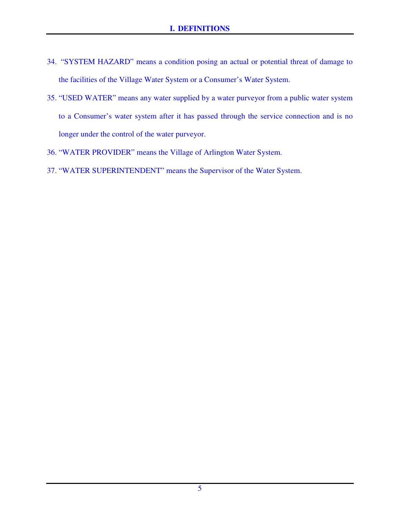- 34. "SYSTEM HAZARD" means a condition posing an actual or potential threat of damage to the facilities of the Village Water System or a Consumer's Water System.
- 35. "USED WATER" means any water supplied by a water purveyor from a public water system to a Consumer's water system after it has passed through the service connection and is no longer under the control of the water purveyor.
- 36. "WATER PROVIDER" means the Village of Arlington Water System.
- 37. "WATER SUPERINTENDENT" means the Supervisor of the Water System.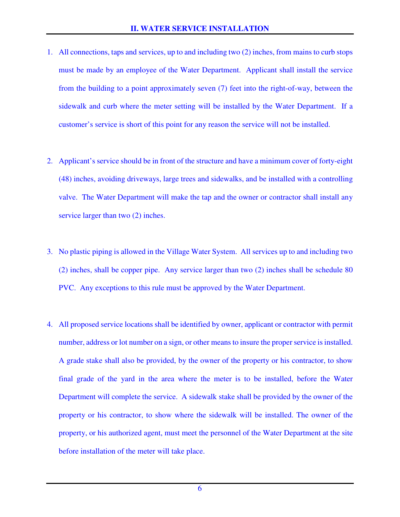- 1. All connections, taps and services, up to and including two (2) inches, from mains to curb stops must be made by an employee of the Water Department. Applicant shall install the service from the building to a point approximately seven (7) feet into the right-of-way, between the sidewalk and curb where the meter setting will be installed by the Water Department. If a customer's service is short of this point for any reason the service will not be installed.
- 2. Applicant's service should be in front of the structure and have a minimum cover of forty-eight (48) inches, avoiding driveways, large trees and sidewalks, and be installed with a controlling valve. The Water Department will make the tap and the owner or contractor shall install any service larger than two  $(2)$  inches.
- 3. No plastic piping is allowed in the Village Water System. All services up to and including two (2) inches, shall be copper pipe. Any service larger than two (2) inches shall be schedule 80 PVC. Any exceptions to this rule must be approved by the Water Department.
- 4. All proposed service locations shall be identified by owner, applicant or contractor with permit number, address or lot number on a sign, or other means to insure the proper service is installed. A grade stake shall also be provided, by the owner of the property or his contractor, to show final grade of the yard in the area where the meter is to be installed, before the Water Department will complete the service. A sidewalk stake shall be provided by the owner of the property or his contractor, to show where the sidewalk will be installed. The owner of the property, or his authorized agent, must meet the personnel of the Water Department at the site before installation of the meter will take place.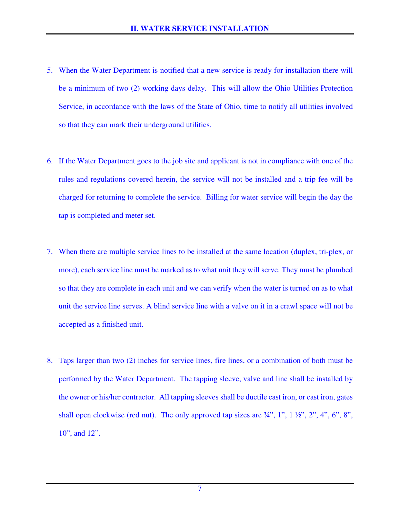- 5. When the Water Department is notified that a new service is ready for installation there will be a minimum of two (2) working days delay. This will allow the Ohio Utilities Protection Service, in accordance with the laws of the State of Ohio, time to notify all utilities involved so that they can mark their underground utilities.
- 6. If the Water Department goes to the job site and applicant is not in compliance with one of the rules and regulations covered herein, the service will not be installed and a trip fee will be charged for returning to complete the service. Billing for water service will begin the day the tap is completed and meter set.
- 7. When there are multiple service lines to be installed at the same location (duplex, tri-plex, or more), each service line must be marked as to what unit they will serve. They must be plumbed so that they are complete in each unit and we can verify when the water is turned on as to what unit the service line serves. A blind service line with a valve on it in a crawl space will not be accepted as a finished unit.
- 8. Taps larger than two (2) inches for service lines, fire lines, or a combination of both must be performed by the Water Department. The tapping sleeve, valve and line shall be installed by the owner or his/her contractor. All tapping sleeves shall be ductile cast iron, or cast iron, gates shall open clockwise (red nut). The only approved tap sizes are  $\frac{3}{4}$ , 1", 1 $\frac{1}{2}$ , 2", 4", 6", 8", 10", and 12".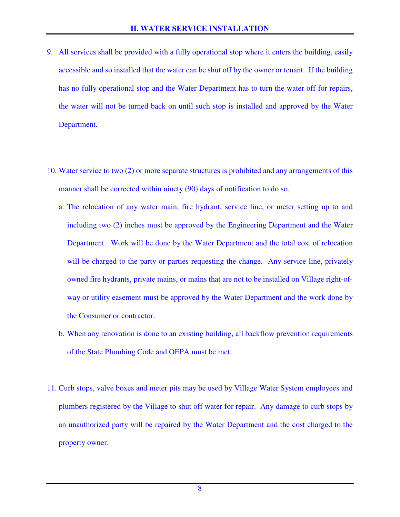- 9. All services shall be provided with a fully operational stop where it enters the building, easily accessible and so installed that the water can be shut off by the owner or tenant. If the building has no fully operational stop and the Water Department has to turn the water off for repairs, the water will not be turned back on until such stop is installed and approved by the Water Department.
- 10. Water service to two (2) or more separate structures is prohibited and any arrangements of this manner shall be corrected within ninety (90) days of notification to do so.
	- a. The relocation of any water main, fire hydrant, service line, or meter setting up to and including two (2) inches must be approved by the Engineering Department and the Water Department. Work will be done by the Water Department and the total cost of relocation will be charged to the party or parties requesting the change. Any service line, privately owned fire hydrants, private mains, or mains that are not to be installed on Village right-ofway or utility easement must be approved by the Water Department and the work done by the Consumer or contractor.
	- b. When any renovation is done to an existing building, all backflow prevention requirements of the State Plumbing Code and OEPA must be met.
- 11. Curb stops, valve boxes and meter pits may be used by Village Water System employees and plumbers registered by the Village to shut off water for repair. Any damage to curb stops by an unauthorized party will be repaired by the Water Department and the cost charged to the property owner.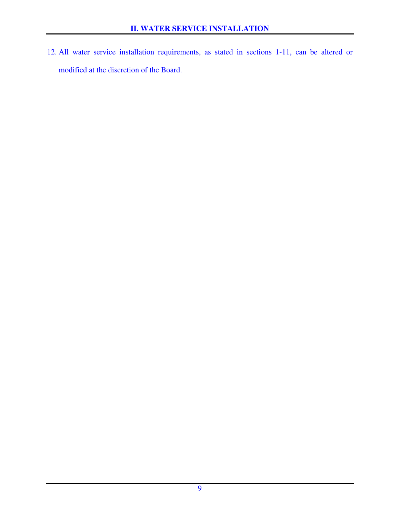12. All water service installation requirements, as stated in sections 1-11, can be altered or modified at the discretion of the Board.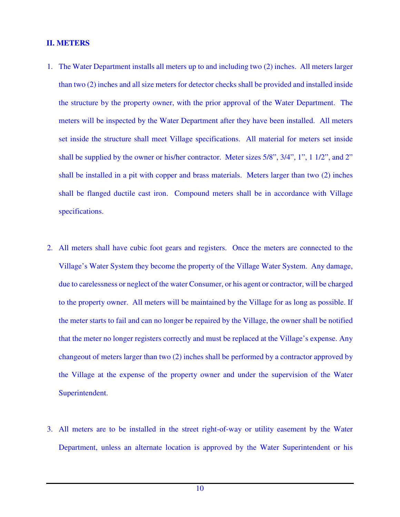#### **II. METERS**

- 1. The Water Department installs all meters up to and including two (2) inches. All meters larger than two (2) inches and all size meters for detector checks shall be provided and installed inside the structure by the property owner, with the prior approval of the Water Department. The meters will be inspected by the Water Department after they have been installed. All meters set inside the structure shall meet Village specifications. All material for meters set inside shall be supplied by the owner or his/her contractor. Meter sizes 5/8", 3/4", 1", 1 1/2", and 2" shall be installed in a pit with copper and brass materials. Meters larger than two (2) inches shall be flanged ductile cast iron. Compound meters shall be in accordance with Village specifications.
- 2. All meters shall have cubic foot gears and registers. Once the meters are connected to the Village's Water System they become the property of the Village Water System. Any damage, due to carelessness or neglect of the water Consumer, or his agent or contractor, will be charged to the property owner. All meters will be maintained by the Village for as long as possible. If the meter starts to fail and can no longer be repaired by the Village, the owner shall be notified that the meter no longer registers correctly and must be replaced at the Village's expense. Any changeout of meters larger than two (2) inches shall be performed by a contractor approved by the Village at the expense of the property owner and under the supervision of the Water Superintendent.
- 3. All meters are to be installed in the street right-of-way or utility easement by the Water Department, unless an alternate location is approved by the Water Superintendent or his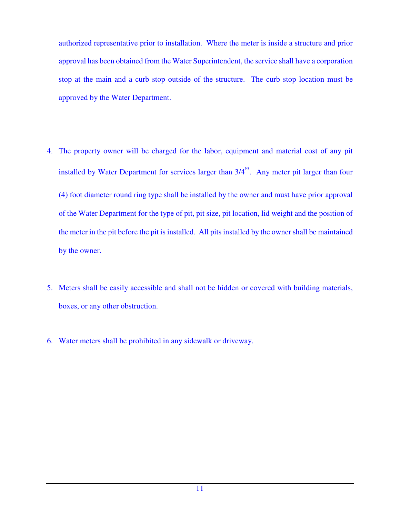authorized representative prior to installation. Where the meter is inside a structure and prior approval has been obtained from the Water Superintendent, the service shall have a corporation stop at the main and a curb stop outside of the structure. The curb stop location must be approved by the Water Department.

- 4. The property owner will be charged for the labor, equipment and material cost of any pit installed by Water Department for services larger than 3/4". Any meter pit larger than four (4) foot diameter round ring type shall be installed by the owner and must have prior approval of the Water Department for the type of pit, pit size, pit location, lid weight and the position of the meter in the pit before the pit is installed. All pits installed by the owner shall be maintained by the owner.
- 5. Meters shall be easily accessible and shall not be hidden or covered with building materials, boxes, or any other obstruction.
- 6. Water meters shall be prohibited in any sidewalk or driveway.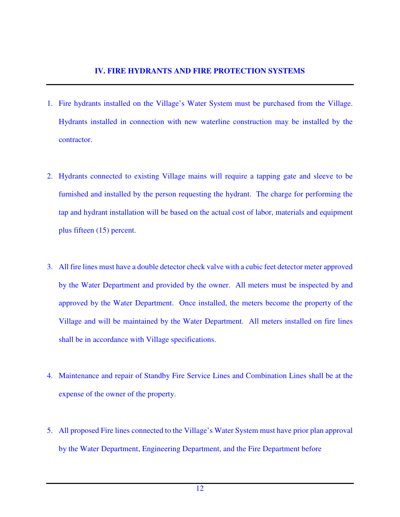- 1. Fire hydrants installed on the Village's Water System must be purchased from the Village. Hydrants installed in connection with new waterline construction may be installed by the contractor.
- 2. Hydrants connected to existing Village mains will require a tapping gate and sleeve to be furnished and installed by the person requesting the hydrant. The charge for performing the tap and hydrant installation will be based on the actual cost of labor, materials and equipment plus fifteen (15) percent.
- 3. All fire lines must have a double detector check valve with a cubic feet detector meter approved by the Water Department and provided by the owner. All meters must be inspected by and approved by the Water Department. Once installed, the meters become the property of the Village and will be maintained by the Water Department. All meters installed on fire lines shall be in accordance with Village specifications.
- 4. Maintenance and repair of Standby Fire Service Lines and Combination Lines shall be at the expense of the owner of the property.
- 5. All proposed Fire lines connected to the Village's Water System must have prior plan approval by the Water Department, Engineering Department, and the Fire Department before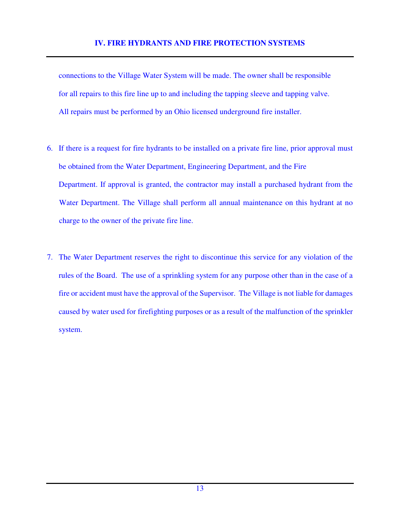connections to the Village Water System will be made. The owner shall be responsible for all repairs to this fire line up to and including the tapping sleeve and tapping valve. All repairs must be performed by an Ohio licensed underground fire installer.

- 6. If there is a request for fire hydrants to be installed on a private fire line, prior approval must be obtained from the Water Department, Engineering Department, and the Fire Department. If approval is granted, the contractor may install a purchased hydrant from the Water Department. The Village shall perform all annual maintenance on this hydrant at no charge to the owner of the private fire line.
- 7. The Water Department reserves the right to discontinue this service for any violation of the rules of the Board. The use of a sprinkling system for any purpose other than in the case of a fire or accident must have the approval of the Supervisor. The Village is not liable for damages caused by water used for firefighting purposes or as a result of the malfunction of the sprinkler system.